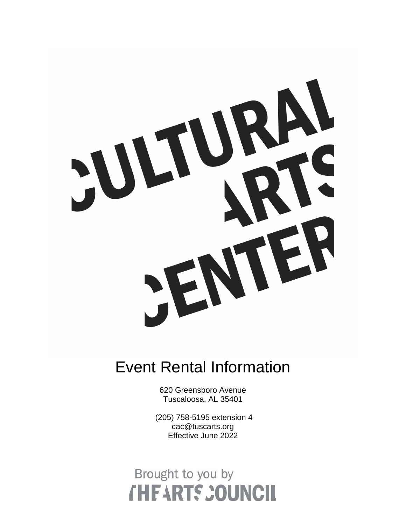

### Event Rental Information

620 Greensboro Avenue Tuscaloosa, AL 35401

(205) 758-5195 extension 4 cac@tuscarts.org Effective June 2022

## Brought to you by **THEARTS COUNCIL**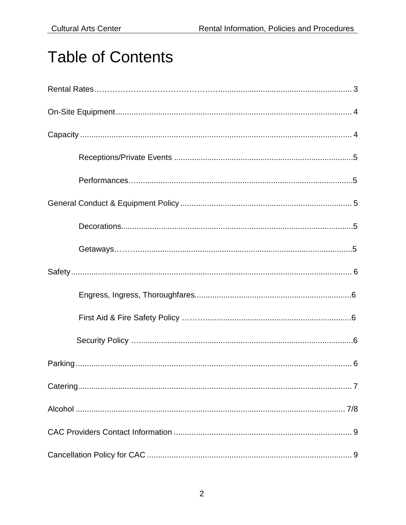## **Table of Contents**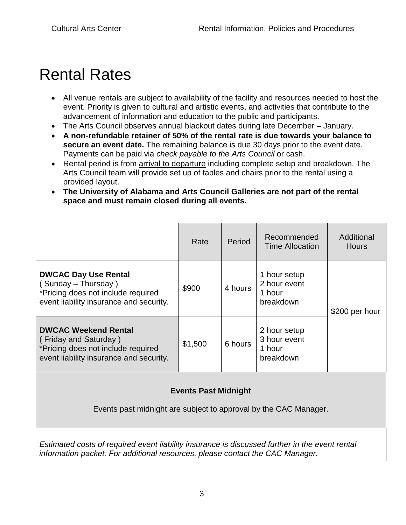### Rental Rates

- All venue rentals are subject to availability of the facility and resources needed to host the event. Priority is given to cultural and artistic events, and activities that contribute to the advancement of information and education to the public and participants.
- The Arts Council observes annual blackout dates during late December January.
- **A non-refundable retainer of 50% of the rental rate is due towards your balance to secure an event date.** The remaining balance is due 30 days prior to the event date. Payments can be paid via *check payable to the Arts Council* or cash.
- Rental period is from arrival to departure including complete setup and breakdown. The Arts Council team will provide set up of tables and chairs prior to the rental using a provided layout.
- **The University of Alabama and Arts Council Galleries are not part of the rental space and must remain closed during all events.**

|                                                                                                                                       | Rate    | Period  | Recommended<br><b>Time Allocation</b>               | Additional<br><b>Hours</b> |  |
|---------------------------------------------------------------------------------------------------------------------------------------|---------|---------|-----------------------------------------------------|----------------------------|--|
| <b>DWCAC Day Use Rental</b><br>(Sunday – Thursday)<br>*Pricing does not include required<br>event liability insurance and security.   | \$900   | 4 hours | 1 hour setup<br>2 hour event<br>1 hour<br>breakdown | \$200 per hour             |  |
| <b>DWCAC Weekend Rental</b><br>(Friday and Saturday)<br>*Pricing does not include required<br>event liability insurance and security. | \$1,500 | 6 hours | 2 hour setup<br>3 hour event<br>1 hour<br>breakdown |                            |  |
| <b>Events Past Midnight</b>                                                                                                           |         |         |                                                     |                            |  |

Events past midnight are subject to approval by the CAC Manager.

*Estimated costs of required event liability insurance is discussed further in the event rental information packet. For additional resources, please contact the CAC Manager.*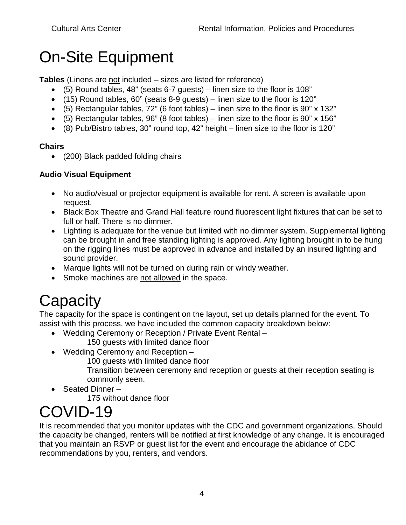## On-Site Equipment

**Tables** (Linens are not included – sizes are listed for reference)

- (5) Round tables, 48" (seats 6-7 guests) linen size to the floor is 108"
- (15) Round tables, 60" (seats 8-9 guests) linen size to the floor is 120"
- $\bullet$  (5) Rectangular tables, 72" (6 foot tables) linen size to the floor is 90" x 132"
- (5) Rectangular tables, 96" (8 foot tables) linen size to the floor is 90" x 156"
- (8) Pub/Bistro tables, 30" round top, 42" height linen size to the floor is 120"

#### **Chairs**

• (200) Black padded folding chairs

#### **Audio Visual Equipment**

- No audio/visual or projector equipment is available for rent. A screen is available upon request.
- Black Box Theatre and Grand Hall feature round fluorescent light fixtures that can be set to full or half. There is no dimmer.
- Lighting is adequate for the venue but limited with no dimmer system. Supplemental lighting can be brought in and free standing lighting is approved. Any lighting brought in to be hung on the rigging lines must be approved in advance and installed by an insured lighting and sound provider.
- Marque lights will not be turned on during rain or windy weather.
- Smoke machines are not allowed in the space.

# **Capacity**

The capacity for the space is contingent on the layout, set up details planned for the event. To assist with this process, we have included the common capacity breakdown below:

- Wedding Ceremony or Reception / Private Event Rental 150 guests with limited dance floor
- Wedding Ceremony and Reception
	- 100 guests with limited dance floor

Transition between ceremony and reception or guests at their reception seating is commonly seen.

• Seated Dinner –

175 without dance floor

## COVID-19

It is recommended that you monitor updates with the CDC and government organizations. Should the capacity be changed, renters will be notified at first knowledge of any change. It is encouraged that you maintain an RSVP or guest list for the event and encourage the abidance of CDC recommendations by you, renters, and vendors.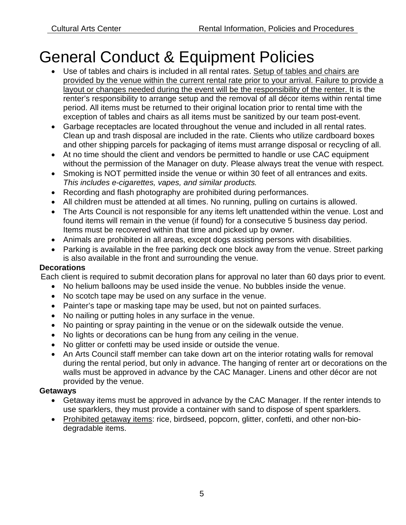## General Conduct & Equipment Policies

- Use of tables and chairs is included in all rental rates. Setup of tables and chairs are provided by the venue within the current rental rate prior to your arrival. Failure to provide a layout or changes needed during the event will be the responsibility of the renter. It is the renter's responsibility to arrange setup and the removal of all décor items within rental time period. All items must be returned to their original location prior to rental time with the exception of tables and chairs as all items must be sanitized by our team post-event.
- Garbage receptacles are located throughout the venue and included in all rental rates. Clean up and trash disposal are included in the rate. Clients who utilize cardboard boxes and other shipping parcels for packaging of items must arrange disposal or recycling of all.
- At no time should the client and vendors be permitted to handle or use CAC equipment without the permission of the Manager on duty. Please always treat the venue with respect.
- Smoking is NOT permitted inside the venue or within 30 feet of all entrances and exits. *This includes e-cigarettes, vapes, and similar products.*
- Recording and flash photography are prohibited during performances.
- All children must be attended at all times. No running, pulling on curtains is allowed.
- The Arts Council is not responsible for any items left unattended within the venue. Lost and found items will remain in the venue (if found) for a consecutive 5 business day period. Items must be recovered within that time and picked up by owner.
- Animals are prohibited in all areas, except dogs assisting persons with disabilities.
- Parking is available in the free parking deck one block away from the venue. Street parking is also available in the front and surrounding the venue.

#### **Decorations**

Each client is required to submit decoration plans for approval no later than 60 days prior to event.

- No helium balloons may be used inside the venue. No bubbles inside the venue.
- No scotch tape may be used on any surface in the venue.
- Painter's tape or masking tape may be used, but not on painted surfaces.
- No nailing or putting holes in any surface in the venue.
- No painting or spray painting in the venue or on the sidewalk outside the venue.
- No lights or decorations can be hung from any ceiling in the venue.
- No glitter or confetti may be used inside or outside the venue.
- An Arts Council staff member can take down art on the interior rotating walls for removal during the rental period, but only in advance. The hanging of renter art or decorations on the walls must be approved in advance by the CAC Manager. Linens and other décor are not provided by the venue.

#### **Getaways**

- Getaway items must be approved in advance by the CAC Manager. If the renter intends to use sparklers, they must provide a container with sand to dispose of spent sparklers.
- Prohibited getaway items: rice, birdseed, popcorn, glitter, confetti, and other non-biodegradable items.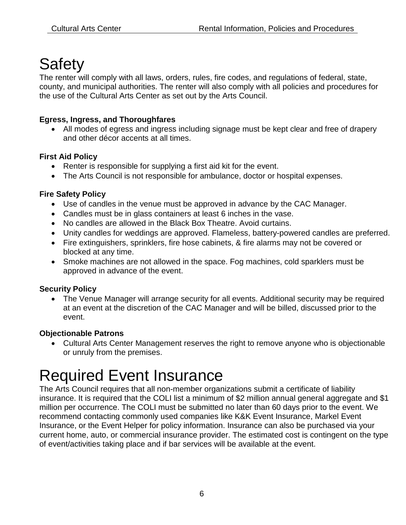### **Safety**

The renter will comply with all laws, orders, rules, fire codes, and regulations of federal, state, county, and municipal authorities. The renter will also comply with all policies and procedures for the use of the Cultural Arts Center as set out by the Arts Council.

#### **Egress, Ingress, and Thoroughfares**

• All modes of egress and ingress including signage must be kept clear and free of drapery and other décor accents at all times.

#### **First Aid Policy**

- Renter is responsible for supplying a first aid kit for the event.
- The Arts Council is not responsible for ambulance, doctor or hospital expenses.

#### **Fire Safety Policy**

- Use of candles in the venue must be approved in advance by the CAC Manager.
- Candles must be in glass containers at least 6 inches in the vase.
- No candles are allowed in the Black Box Theatre. Avoid curtains.
- Unity candles for weddings are approved. Flameless, battery-powered candles are preferred.
- Fire extinguishers, sprinklers, fire hose cabinets, & fire alarms may not be covered or blocked at any time.
- Smoke machines are not allowed in the space. Fog machines, cold sparklers must be approved in advance of the event.

#### **Security Policy**

• The Venue Manager will arrange security for all events. Additional security may be required at an event at the discretion of the CAC Manager and will be billed, discussed prior to the event.

#### **Objectionable Patrons**

• Cultural Arts Center Management reserves the right to remove anyone who is objectionable or unruly from the premises.

# Required Event Insurance

The Arts Council requires that all non-member organizations submit a certificate of liability insurance. It is required that the COLI list a minimum of \$2 million annual general aggregate and \$1 million per occurrence. The COLI must be submitted no later than 60 days prior to the event. We recommend contacting commonly used companies like K&K Event Insurance, Markel Event Insurance, or the Event Helper for policy information. Insurance can also be purchased via your current home, auto, or commercial insurance provider. The estimated cost is contingent on the type of event/activities taking place and if bar services will be available at the event.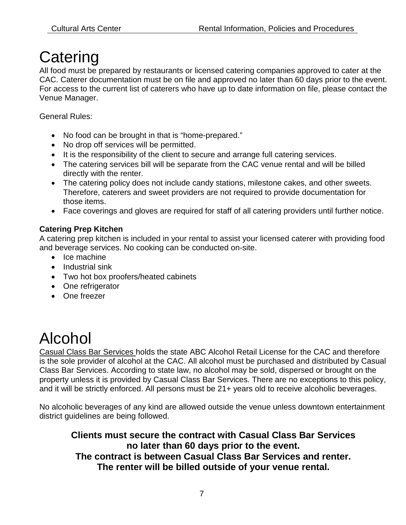### **Catering**

All food must be prepared by restaurants or licensed catering companies approved to cater at the CAC. Caterer documentation must be on file and approved no later than 60 days prior to the event. For access to the current list of caterers who have up to date information on file, please contact the Venue Manager.

General Rules:

- No food can be brought in that is "home-prepared."
- No drop off services will be permitted.
- It is the responsibility of the client to secure and arrange full catering services.
- The catering services bill will be separate from the CAC venue rental and will be billed directly with the renter.
- The catering policy does not include candy stations, milestone cakes, and other sweets. Therefore, caterers and sweet providers are not required to provide documentation for those items.
- Face coverings and gloves are required for staff of all catering providers until further notice.

#### **Catering Prep Kitchen**

A catering prep kitchen is included in your rental to assist your licensed caterer with providing food and beverage services. No cooking can be conducted on-site.

- Ice machine
- Industrial sink
- Two hot box proofers/heated cabinets
- One refrigerator
- One freezer

### Alcohol

Casual Class Bar Services holds the state ABC Alcohol Retail License for the CAC and therefore is the sole provider of alcohol at the CAC. All alcohol must be purchased and distributed by Casual Class Bar Services. According to state law, no alcohol may be sold, dispersed or brought on the property unless it is provided by Casual Class Bar Services. There are no exceptions to this policy, and it will be strictly enforced. All persons must be 21+ years old to receive alcoholic beverages.

No alcoholic beverages of any kind are allowed outside the venue unless downtown entertainment district guidelines are being followed.

**Clients must secure the contract with Casual Class Bar Services no later than 60 days prior to the event. The contract is between Casual Class Bar Services and renter. The renter will be billed outside of your venue rental.**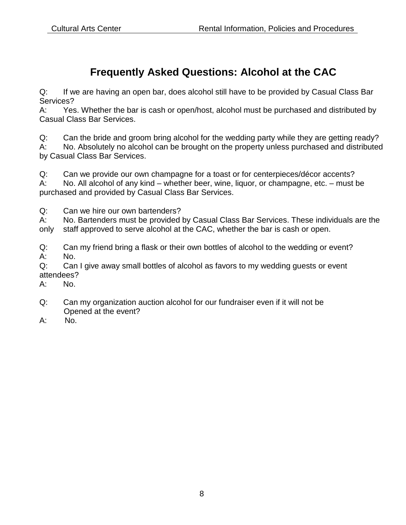### **Frequently Asked Questions: Alcohol at the CAC**

Q: If we are having an open bar, does alcohol still have to be provided by Casual Class Bar Services?

A: Yes. Whether the bar is cash or open/host, alcohol must be purchased and distributed by Casual Class Bar Services.

Q: Can the bride and groom bring alcohol for the wedding party while they are getting ready?<br>A: No. Absolutely no alcohol can be brought on the property unless purchased and distribute No. Absolutely no alcohol can be brought on the property unless purchased and distributed by Casual Class Bar Services.

Q: Can we provide our own champagne for a toast or for centerpieces/décor accents?

A: No. All alcohol of any kind – whether beer, wine, liquor, or champagne, etc. – must be purchased and provided by Casual Class Bar Services.

Q: Can we hire our own bartenders?

A: No. Bartenders must be provided by Casual Class Bar Services. These individuals are the only staff approved to serve alcohol at the CAC, whether the bar is cash or open.

Q: Can my friend bring a flask or their own bottles of alcohol to the wedding or event? A: No.

Q: Can I give away small bottles of alcohol as favors to my wedding guests or event attendees?

A: No.

- Q: Can my organization auction alcohol for our fundraiser even if it will not be Opened at the event?
- A: No.